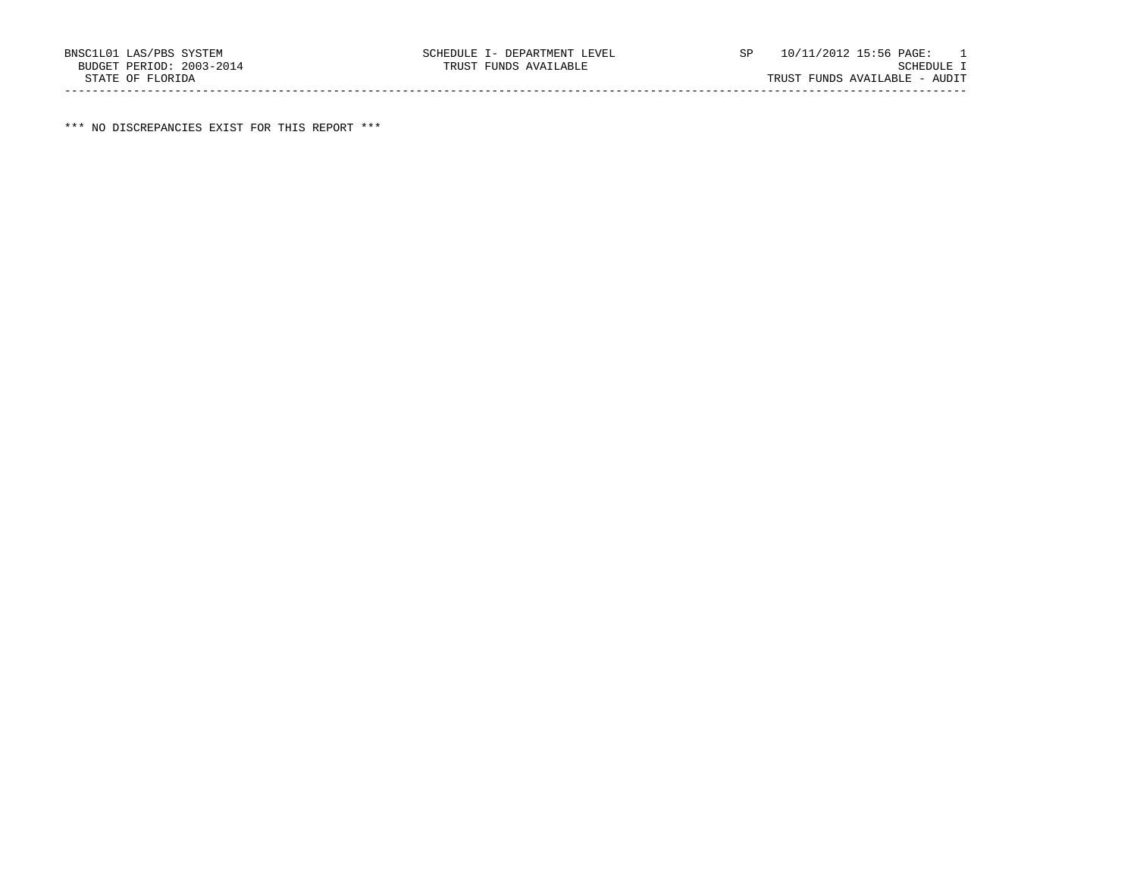\*\*\* NO DISCREPANCIES EXIST FOR THIS REPORT \*\*\*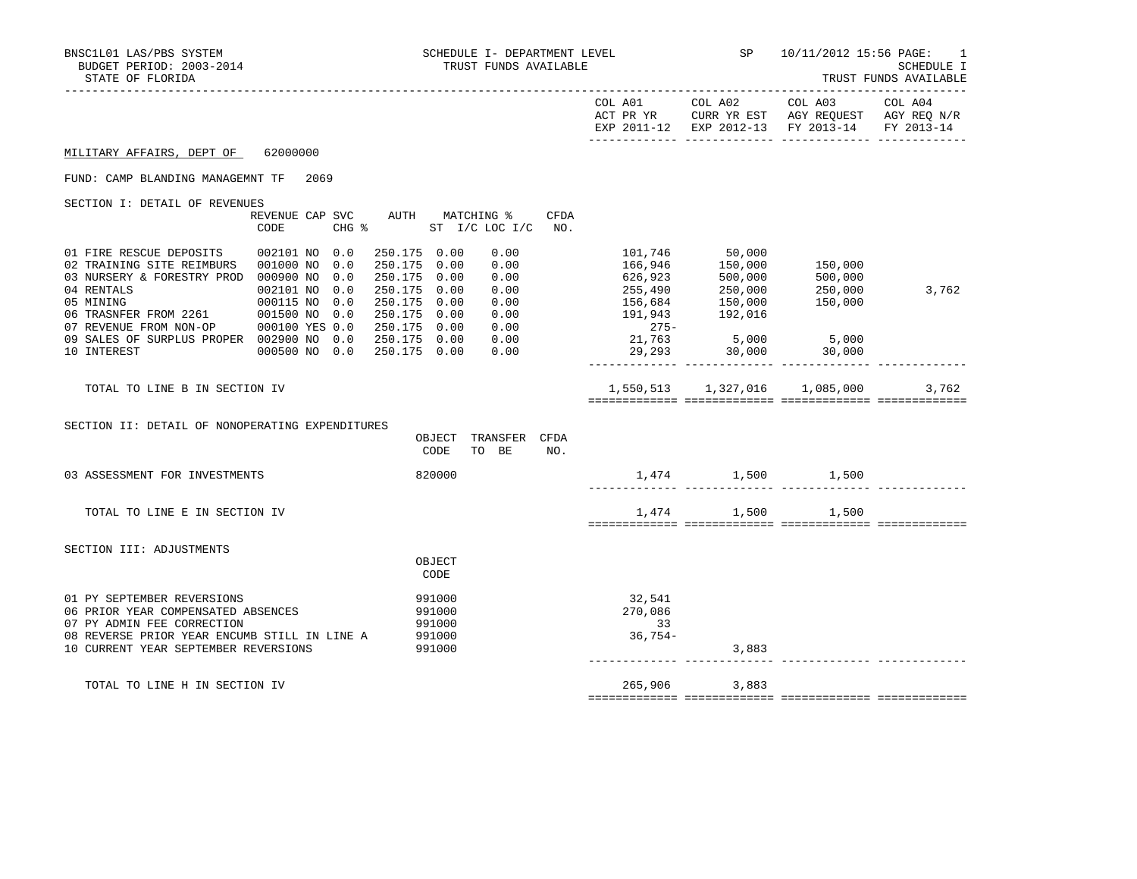|                                                                                                                                                                                                                                                                                                                                                                                                                                                                                                                                                                                                                                                                                            |                                                       |                                                                                                     | EXP 2011-12 EXP 2012-13 FY 2013-14 FY 2013-14 |       |
|--------------------------------------------------------------------------------------------------------------------------------------------------------------------------------------------------------------------------------------------------------------------------------------------------------------------------------------------------------------------------------------------------------------------------------------------------------------------------------------------------------------------------------------------------------------------------------------------------------------------------------------------------------------------------------------------|-------------------------------------------------------|-----------------------------------------------------------------------------------------------------|-----------------------------------------------|-------|
| 62000000<br>MILITARY AFFAIRS, DEPT OF                                                                                                                                                                                                                                                                                                                                                                                                                                                                                                                                                                                                                                                      |                                                       |                                                                                                     |                                               |       |
| FUND: CAMP BLANDING MANAGEMNT TF<br>2069                                                                                                                                                                                                                                                                                                                                                                                                                                                                                                                                                                                                                                                   |                                                       |                                                                                                     |                                               |       |
| SECTION I: DETAIL OF REVENUES<br>AUTH MATCHING %<br>REVENUE CAP SVC<br>CFDA<br>$CHG$ $\approx$<br>ST I/C LOC I/C<br>CODE<br>NO.                                                                                                                                                                                                                                                                                                                                                                                                                                                                                                                                                            |                                                       |                                                                                                     |                                               |       |
| 0.00<br>01 FIRE RESCUE DEPOSITS<br>002101 NO 0.0<br>250.175 0.00<br>02 TRAINING SITE REIMBURS 001000 NO<br>250.175 0.00<br>0.00<br>0.0<br>03 NURSERY & FORESTRY PROD 000900 NO<br>0.0<br>250.175 0.00<br>0.00<br>04 RENTALS<br>002101 NO<br>0.0<br>250.175 0.00<br>0.00<br>$\begin{array}{cccc} & & & & 000115 & \text{nu} & \dots \\ \text{FROM} & 2261 & & 001500 & \text{NO} & 0.0 \\ \text{m} & \text{N} & \text{ON} & -\text{OP} & & 000100 & \text{YES} & 0.0 \\ & & & & & \\ \text{M} & \text{N} & \text{O} & & 0.0 & \text{N} \end{array}$<br>05 MINING<br>250.175 0.00<br>0.00<br>250.175 0.00<br>0.00<br>06 TRASNFER FROM 2261<br>250.175 0.00<br>07 REVENUE FROM NON-OP<br>0.00 | 020, 255, 490<br>156,684<br>191,943<br>275–<br>21,763 | 101,746 50,000<br>166,946 150,000<br>626,923<br>255,490<br>255,490<br>156,684<br>197,943<br>192,016 | 150,000<br>500,000<br>250,000<br>150,000      | 3,762 |
| 09 SALES OF SURPLUS PROPER 002900 NO<br>250.175 0.00<br>0.00<br>10 INTEREST<br>250.175 0.00<br>000500 NO 0.0<br>0.00                                                                                                                                                                                                                                                                                                                                                                                                                                                                                                                                                                       | 29,293                                                | $5,000$ $5,000$<br>30,000                                                                           | 30,000                                        |       |
| TOTAL TO LINE B IN SECTION IV                                                                                                                                                                                                                                                                                                                                                                                                                                                                                                                                                                                                                                                              |                                                       |                                                                                                     |                                               | 3,762 |
| SECTION II: DETAIL OF NONOPERATING EXPENDITURES<br>TRANSFER CFDA<br>OBJECT<br>CODE<br>TO BE<br>NO.                                                                                                                                                                                                                                                                                                                                                                                                                                                                                                                                                                                         |                                                       |                                                                                                     |                                               |       |
| 820000<br>03 ASSESSMENT FOR INVESTMENTS                                                                                                                                                                                                                                                                                                                                                                                                                                                                                                                                                                                                                                                    |                                                       | $1,474$ $1,500$ $1,500$                                                                             |                                               |       |
| TOTAL TO LINE E IN SECTION IV                                                                                                                                                                                                                                                                                                                                                                                                                                                                                                                                                                                                                                                              |                                                       | 1,474 1,500                                                                                         | 1,500                                         |       |
| SECTION III: ADJUSTMENTS                                                                                                                                                                                                                                                                                                                                                                                                                                                                                                                                                                                                                                                                   |                                                       |                                                                                                     |                                               |       |
| OBJECT<br>CODE                                                                                                                                                                                                                                                                                                                                                                                                                                                                                                                                                                                                                                                                             |                                                       |                                                                                                     |                                               |       |
| 01 PY SEPTEMBER REVERSIONS<br>991000<br>06 PRIOR YEAR COMPENSATED ABSENCES<br>991000<br>07 PY ADMIN FEE CORRECTION<br>991000<br>08 REVERSE PRIOR YEAR ENCUMB STILL IN LINE A<br>991000<br>10 CURRENT YEAR SEPTEMBER REVERSIONS<br>991000                                                                                                                                                                                                                                                                                                                                                                                                                                                   | 32,541<br>270,086<br>$\overline{33}$<br>$36,754-$     | 3,883                                                                                               |                                               |       |
| TOTAL TO LINE H IN SECTION IV                                                                                                                                                                                                                                                                                                                                                                                                                                                                                                                                                                                                                                                              |                                                       | 265,906 3,883                                                                                       |                                               |       |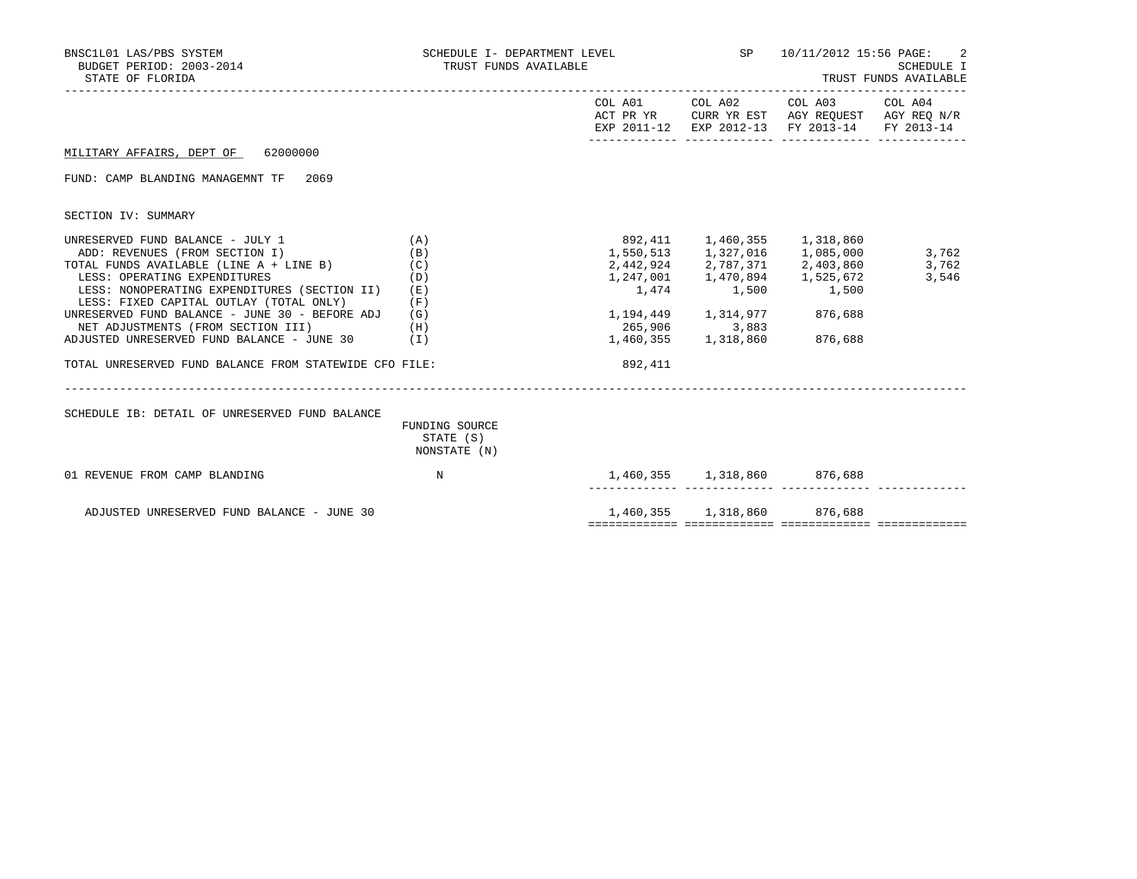| BNSC1L01 LAS/PBS SYSTEM<br>BUDGET PERIOD: 2003-2014<br>STATE OF FLORIDA                                                                                                                                                                                                                                                              | SCHEDULE I- DEPARTMENT LEVEL<br>TRUST FUNDS AVAILABLE |                                      |                                                                         | SP 10/11/2012 15:56 PAGE:<br>SCHEDULE I<br>TRUST FUNDS AVAILABLE                                                                  |                |  |
|--------------------------------------------------------------------------------------------------------------------------------------------------------------------------------------------------------------------------------------------------------------------------------------------------------------------------------------|-------------------------------------------------------|--------------------------------------|-------------------------------------------------------------------------|-----------------------------------------------------------------------------------------------------------------------------------|----------------|--|
|                                                                                                                                                                                                                                                                                                                                      |                                                       |                                      |                                                                         | COL A01 COL A02 COL A03 COL A04<br>ACT PR YR CURR YR EST AGY REQUEST AGY REQ N/R<br>EXP 2011-12 EXP 2012-13 FY 2013-14 FY 2013-14 |                |  |
| MILITARY AFFAIRS, DEPT OF 62000000                                                                                                                                                                                                                                                                                                   |                                                       |                                      |                                                                         |                                                                                                                                   |                |  |
| FUND: CAMP BLANDING MANAGEMNT TF 2069                                                                                                                                                                                                                                                                                                |                                                       |                                      |                                                                         |                                                                                                                                   |                |  |
| SECTION IV: SUMMARY                                                                                                                                                                                                                                                                                                                  |                                                       |                                      |                                                                         |                                                                                                                                   |                |  |
| UNRESERVED FUND BALANCE - JULY 1<br>ADD: REVENUES (FROM SECTION I)<br>TOTAL FUNDS AVAILABLE (LINE A + LINE B) (C)<br>LESS: OPERATING EXPENDITURES<br>LESS: NONOPERATING EXPENDITURES (SECTION II)<br>LESS: FIXED CAPITAL OUTLAY (TOTAL ONLY)<br>UNRESERVED FUND BALANCE - JUNE 30 - BEFORE ADJ<br>NET ADJUSTMENTS (FROM SECTION III) | (A)<br>(B)<br>(D)<br>(E)<br>(F)<br>(G)<br>(H)         | 892,411 1,460,355 1,318,860<br>1,474 | 1,550,513 1,327,016 1,085,000<br>1,500 1,500<br>1, 194, 449 1, 314, 977 | 2,442,924 2,787,371 2,403,860 3,762<br>1,247,001  1,470,894  1,525,672<br>876,688                                                 | 3,762<br>3,546 |  |
| ADJUSTED UNRESERVED FUND BALANCE - JUNE 30<br>TOTAL UNRESERVED FUND BALANCE FROM STATEWIDE CFO FILE:                                                                                                                                                                                                                                 | (T)                                                   | 892,411                              |                                                                         | 876,688                                                                                                                           |                |  |
| SCHEDULE IB: DETAIL OF UNRESERVED FUND BALANCE                                                                                                                                                                                                                                                                                       | FUNDING SOURCE<br>STATE (S)<br>NONSTATE (N)           |                                      |                                                                         |                                                                                                                                   |                |  |
| 01 REVENUE FROM CAMP BLANDING                                                                                                                                                                                                                                                                                                        | $_{\rm N}$                                            |                                      | 1,460,355 1,318,860 876,688                                             |                                                                                                                                   |                |  |
| ADJUSTED UNRESERVED FUND BALANCE - JUNE 30                                                                                                                                                                                                                                                                                           |                                                       |                                      | 1,460,355 1,318,860 876,688                                             |                                                                                                                                   |                |  |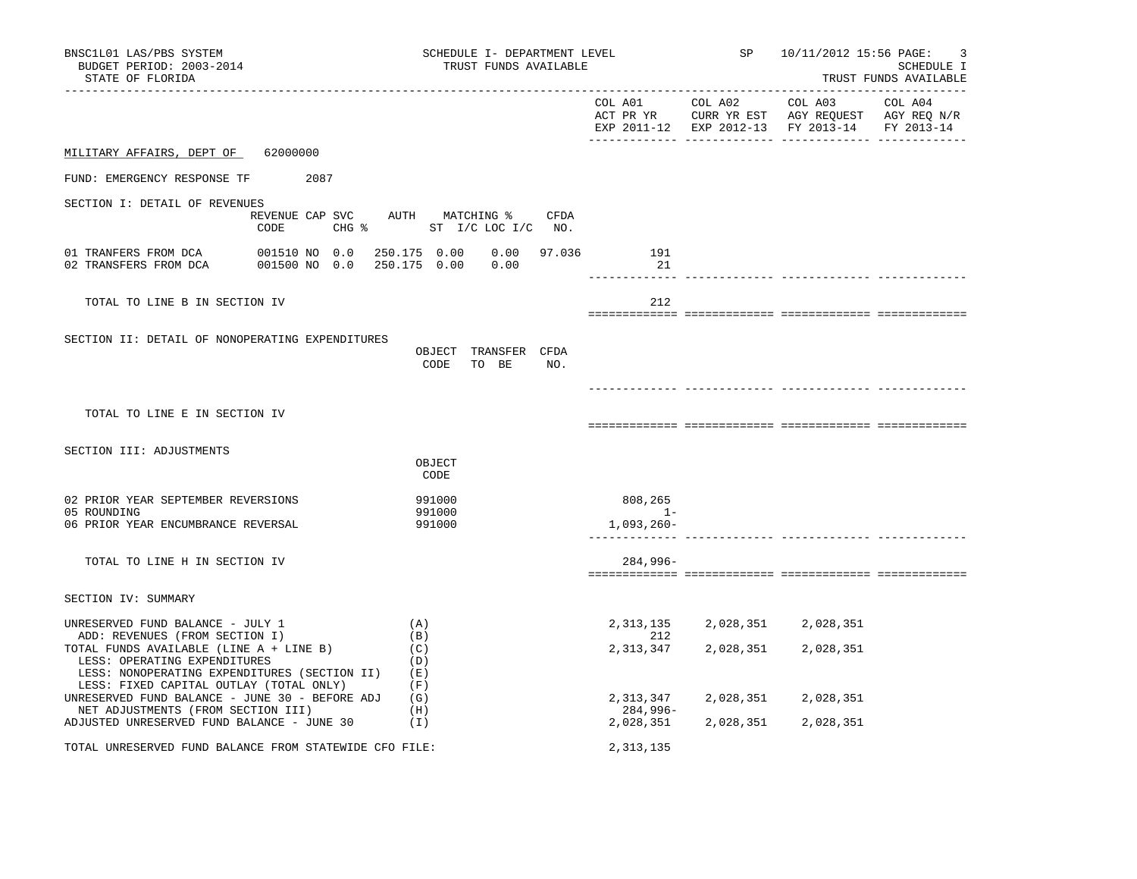| BNSC1L01 LAS/PBS SYSTEM<br>BUDGET PERIOD: 2003-2014<br>STATE OF FLORIDA                                                                                                                       | SCHEDULE I- DEPARTMENT LEVEL<br>TRUST FUNDS AVAILABLE                        |                                  |                                                  | SP 10/11/2012 15:56 PAGE:                                                                                         | 3<br>SCHEDULE I<br>TRUST FUNDS AVAILABLE |
|-----------------------------------------------------------------------------------------------------------------------------------------------------------------------------------------------|------------------------------------------------------------------------------|----------------------------------|--------------------------------------------------|-------------------------------------------------------------------------------------------------------------------|------------------------------------------|
|                                                                                                                                                                                               |                                                                              |                                  | COL A01 COL A02                                  | COL A03 COL A04<br>ACT PR YR CURR YR EST AGY REQUEST AGY REQ N/R<br>EXP 2011-12 EXP 2012-13 FY 2013-14 FY 2013-14 |                                          |
| MILITARY AFFAIRS, DEPT OF 62000000                                                                                                                                                            |                                                                              |                                  |                                                  |                                                                                                                   |                                          |
| FUND: EMERGENCY RESPONSE TF 2087                                                                                                                                                              |                                                                              |                                  |                                                  |                                                                                                                   |                                          |
| SECTION I: DETAIL OF REVENUES<br>CODE                                                                                                                                                         | REVENUE CAP SVC AUTH MATCHING % CFDA<br>CHG $\frac{1}{6}$ ST I/C LOC I/C NO. |                                  |                                                  |                                                                                                                   |                                          |
|                                                                                                                                                                                               | $0.00$ 97.036                                                                | 191<br>21                        |                                                  |                                                                                                                   |                                          |
| TOTAL TO LINE B IN SECTION IV                                                                                                                                                                 |                                                                              | 212                              |                                                  |                                                                                                                   |                                          |
| SECTION II: DETAIL OF NONOPERATING EXPENDITURES                                                                                                                                               | OBJECT TRANSFER CFDA<br>CODE TO BE NO.                                       |                                  |                                                  |                                                                                                                   |                                          |
| TOTAL TO LINE E IN SECTION IV                                                                                                                                                                 |                                                                              |                                  |                                                  |                                                                                                                   |                                          |
| SECTION III: ADJUSTMENTS                                                                                                                                                                      | OBJECT<br>CODE                                                               |                                  |                                                  |                                                                                                                   |                                          |
| 02 PRIOR YEAR SEPTEMBER REVERSIONS<br>05 ROUNDING<br>06 PRIOR YEAR ENCUMBRANCE REVERSAL                                                                                                       | 991000<br>991000<br>991000                                                   | 808,265<br>$1 -$<br>$1,093,260-$ |                                                  |                                                                                                                   |                                          |
| TOTAL TO LINE H IN SECTION IV                                                                                                                                                                 |                                                                              | 284,996-                         |                                                  |                                                                                                                   |                                          |
| SECTION IV: SUMMARY                                                                                                                                                                           |                                                                              |                                  |                                                  |                                                                                                                   |                                          |
| UNRESERVED FUND BALANCE - JULY 1<br>ADD: REVENUES (FROM SECTION I)<br>TOTAL FUNDS AVAILABLE (LINE A + LINE B)<br>LESS: OPERATING EXPENDITURES<br>LESS: NONOPERATING EXPENDITURES (SECTION II) | (A)<br>(B)<br>(C)<br>(D)<br>(E)                                              | 212<br>2,313,347                 | 2, 313, 135 2, 028, 351 2, 028, 351<br>2,028,351 | 2,028,351                                                                                                         |                                          |
| LESS: FIXED CAPITAL OUTLAY (TOTAL ONLY)<br>UNRESERVED FUND BALANCE - JUNE 30 - BEFORE ADJ $(G)$<br>NET ADJUSTMENTS (FROM SECTION III)<br>ADJUSTED UNRESERVED FUND BALANCE - JUNE 30           | (F)<br>(H)<br>(1)                                                            | 284,996-                         |                                                  | 2, 313, 347 2, 028, 351 2, 028, 351<br>2,028,351 2,028,351 2,028,351                                              |                                          |
| TOTAL UNRESERVED FUND BALANCE FROM STATEWIDE CFO FILE:                                                                                                                                        |                                                                              | 2,313,135                        |                                                  |                                                                                                                   |                                          |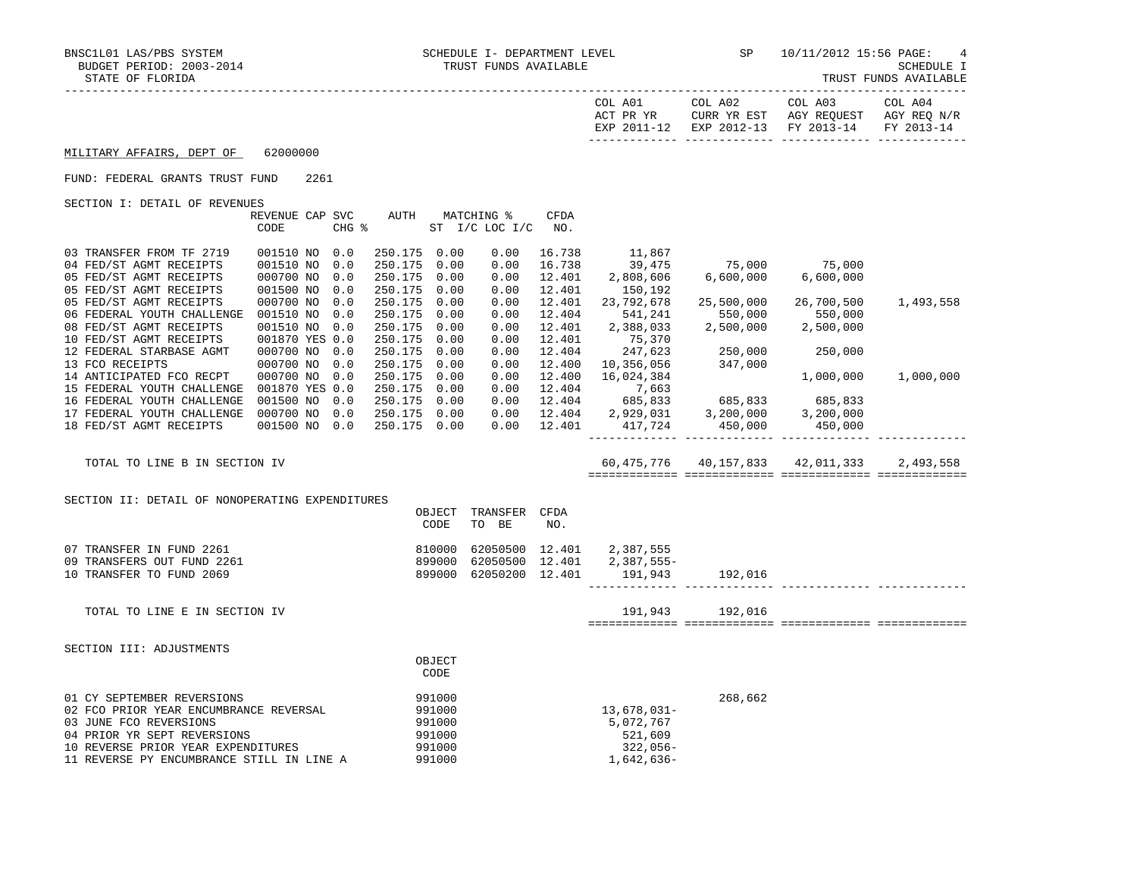TRUST FUNDS AVAILABLE

| COL A01     | COL A02                           | COL A03                             | COL A04 |
|-------------|-----------------------------------|-------------------------------------|---------|
| ACT PR YR   |                                   | CURR YR EST AGY REQUEST AGY REQ N/R |         |
| EXP 2011-12 | EXP 2012-13 FY 2013-14 FY 2013-14 |                                     |         |
|             |                                   |                                     |         |

## MILITARY AFFAIRS, DEPT OF 62000000

## FUND: FEDERAL GRANTS TRUST FUND 2261

SECTION I: DETAIL OF REVENUES

| OBCIION I: DEIAIN OF REVENUED    |                |            |         |      |                |        |            |            |            |           |
|----------------------------------|----------------|------------|---------|------|----------------|--------|------------|------------|------------|-----------|
|                                  | REVENUE CAP    | <b>SVC</b> | AUTH    |      | MATCHING %     | CFDA   |            |            |            |           |
|                                  | CODE           | CHG %      |         |      | ST I/C LOC I/C | NO.    |            |            |            |           |
|                                  |                |            |         |      |                |        |            |            |            |           |
| 03 TRANSFER FROM TF 2719         | 001510 NO      | 0.0        | 250.175 | 0.00 | 0.00           | 16.738 | 11,867     |            |            |           |
| 04 FED/ST AGMT RECEIPTS          | 001510 NO      | 0.0        | 250.175 | 0.00 | 0.00           | 16.738 | 39,475     | 75,000     | 75,000     |           |
| 05 FED/ST AGMT RECEIPTS          | 000700 NO      | 0.0        | 250.175 | 0.00 | 0.00           | 12.401 | 2,808,606  | 6,600,000  | 6,600,000  |           |
| 05 FED/ST AGMT RECEIPTS          | 001500 NO      | 0.0        | 250.175 | 0.00 | 0.00           | 12.401 | 150,192    |            |            |           |
| 05 FED/ST AGMT RECEIPTS          | 000700 NO      | 0.0        | 250.175 | 0.00 | 0.00           | 12.401 | 23,792,678 | 25,500,000 | 26,700,500 | 1,493,558 |
| 06 FEDERAL YOUTH CHALLENGE       | 001510 NO      | 0.0        | 250.175 | 0.00 | 0.00           | 12.404 | 541,241    | 550,000    | 550,000    |           |
| 08 FED/ST AGMT RECEIPTS          | 001510 NO      | 0.0        | 250.175 | 0.00 | 0.00           | 12.401 | 2,388,033  | 2,500,000  | 2,500,000  |           |
| 10 FED/ST AGMT RECEIPTS          | 001870 YES 0.0 |            | 250.175 | 0.00 | 0.00           | 12.401 | 75,370     |            |            |           |
| 12 FEDERAL STARBASE AGMT         | 000700 NO      | 0.0        | 250.175 | 0.00 | 0.00           | 12.404 | 247,623    | 250,000    | 250,000    |           |
| 13 FCO RECEIPTS                  | 000700 NO      | 0.0        | 250.175 | 0.00 | 0.00           | 12.400 | 10,356,056 | 347,000    |            |           |
| 14 ANTICIPATED FCO RECPT         | 000700 NO      | 0.0        | 250.175 | 0.00 | 0.00           | 12.400 | 16,024,384 |            | 1,000,000  | 1,000,000 |
| 15 FEDERAL YOUTH CHALLENGE       | 001870 YES 0.0 |            | 250.175 | 0.00 | 0.00           | 12.404 | 7,663      |            |            |           |
| 16 FEDERAL YOUTH CHALLENGE       | 001500 NO      | 0.0        | 250.175 | 0.00 | 0.00           | 12.404 | 685,833    | 685,833    | 685,833    |           |
| 17 FEDERAL YOUTH CHALLENGE       | 000700 NO      | 0.0        | 250.175 | 0.00 | 0.00           | 12.404 | 2,929,031  | 3,200,000  | 3,200,000  |           |
| 18 FED/ST AGMT RECEIPTS          | 001500 NO      | 0.0        | 250.175 | 0.00 | 0.00           | 12.401 | 417,724    | 450,000    | 450,000    |           |
|                                  |                |            |         |      |                |        |            |            |            |           |
|                                  |                |            |         |      |                |        |            |            |            |           |
| TOTAL TO LINE B<br>IN SECTION IV |                |            |         |      |                |        | 60,475,776 | 40,157,833 | 42,011,333 | 2,493,558 |
|                                  |                |            |         |      |                |        |            |            |            |           |
|                                  |                |            |         |      |                |        |            |            |            |           |

| SECTION II: DETAIL OF NONOPERATING EXPENDITURES                                                                                                                                                                  |                                                          |                                  |                            |                                                                 |         |  |
|------------------------------------------------------------------------------------------------------------------------------------------------------------------------------------------------------------------|----------------------------------------------------------|----------------------------------|----------------------------|-----------------------------------------------------------------|---------|--|
|                                                                                                                                                                                                                  | OBJECT<br>CODE                                           | TRANSFER<br>TO BE                | CFDA<br>NO.                |                                                                 |         |  |
| 07 TRANSFER IN FUND 2261<br>09 TRANSFERS OUT FUND 2261<br>10 TRANSFER TO FUND 2069                                                                                                                               | 810000<br>899000<br>899000                               | 62050500<br>62050500<br>62050200 | 12.401<br>12.401<br>12.401 | 2,387,555<br>2,387,555-<br>191,943                              | 192,016 |  |
| TOTAL TO LINE E IN SECTION IV                                                                                                                                                                                    |                                                          |                                  |                            | 191,943                                                         | 192,016 |  |
| SECTION III: ADJUSTMENTS                                                                                                                                                                                         | OBJECT<br>CODE                                           |                                  |                            |                                                                 |         |  |
| 01 CY SEPTEMBER REVERSIONS<br>02 FCO PRIOR YEAR ENCUMBRANCE REVERSAL<br>03 JUNE FCO REVERSIONS<br>04 PRIOR YR SEPT REVERSIONS<br>10 REVERSE PRIOR YEAR EXPENDITURES<br>11 REVERSE PY ENCUMBRANCE STILL IN LINE A | 991000<br>991000<br>991000<br>991000<br>991000<br>991000 |                                  |                            | 13,678,031-<br>5,072,767<br>521,609<br>$322,056-$<br>1,642,636- | 268,662 |  |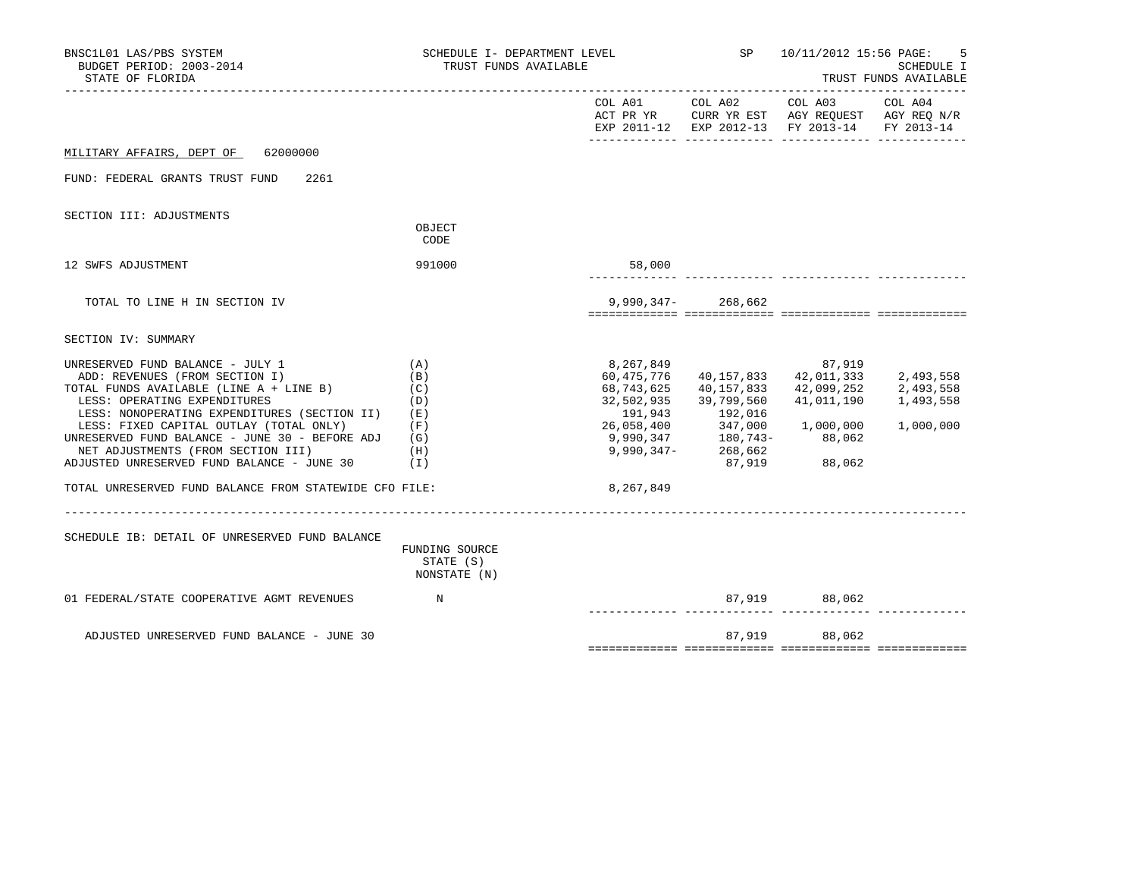| BNSC1L01 LAS/PBS SYSTEM<br>BUDGET PERIOD: 2003-2014<br>STATE OF FLORIDA                                                                                                                                                                                                                                                                                                                                                                  | SCHEDULE I- DEPARTMENT LEVEL<br>TRUST FUNDS AVAILABLE       |                                                                                                         | SP                                                                                              | 10/11/2012 15:56 PAGE:<br>SCHEDULE I<br>TRUST FUNDS AVAILABLE                                                  |                                                  |  |
|------------------------------------------------------------------------------------------------------------------------------------------------------------------------------------------------------------------------------------------------------------------------------------------------------------------------------------------------------------------------------------------------------------------------------------------|-------------------------------------------------------------|---------------------------------------------------------------------------------------------------------|-------------------------------------------------------------------------------------------------|----------------------------------------------------------------------------------------------------------------|--------------------------------------------------|--|
|                                                                                                                                                                                                                                                                                                                                                                                                                                          |                                                             |                                                                                                         |                                                                                                 | COL A01 COL A02 COL A03<br>ACT PR YR CURR YR EST AGY REQUEST AGY REQ N/R<br>EXP 2011-12 EXP 2012-13 FY 2013-14 | COL A04<br>FY 2013-14                            |  |
| 62000000<br>MILITARY AFFAIRS, DEPT OF                                                                                                                                                                                                                                                                                                                                                                                                    |                                                             |                                                                                                         |                                                                                                 |                                                                                                                |                                                  |  |
| FUND: FEDERAL GRANTS TRUST FUND<br>2261                                                                                                                                                                                                                                                                                                                                                                                                  |                                                             |                                                                                                         |                                                                                                 |                                                                                                                |                                                  |  |
| SECTION III: ADJUSTMENTS                                                                                                                                                                                                                                                                                                                                                                                                                 | OBJECT<br>CODE                                              |                                                                                                         |                                                                                                 |                                                                                                                |                                                  |  |
| 12 SWFS ADJUSTMENT                                                                                                                                                                                                                                                                                                                                                                                                                       | 991000                                                      | 58,000                                                                                                  |                                                                                                 |                                                                                                                |                                                  |  |
| TOTAL TO LINE H IN SECTION IV                                                                                                                                                                                                                                                                                                                                                                                                            |                                                             |                                                                                                         | $9,990,347-268,662$                                                                             |                                                                                                                |                                                  |  |
| SECTION IV: SUMMARY                                                                                                                                                                                                                                                                                                                                                                                                                      |                                                             |                                                                                                         |                                                                                                 |                                                                                                                |                                                  |  |
| UNRESERVED FUND BALANCE - JULY 1<br>ADD: REVENUES (FROM SECTION I)<br>TOTAL FUNDS AVAILABLE (LINE A + LINE B)<br>LESS: OPERATING EXPENDITURES<br>LESS: NONOPERATING EXPENDITURES (SECTION II)<br>LESS: FIXED CAPITAL OUTLAY (TOTAL ONLY)<br>UNRESERVED FUND BALANCE - JUNE 30 - BEFORE ADJ<br>NET ADJUSTMENTS (FROM SECTION III)<br>ADJUSTED UNRESERVED FUND BALANCE - JUNE 30<br>TOTAL UNRESERVED FUND BALANCE FROM STATEWIDE CFO FILE: | (A)<br>(B)<br>(C)<br>(D)<br>(E)<br>(F)<br>(G)<br>(H)<br>(1) | 8,267,849<br>60,475,776<br>68,743,625<br>32,502,935<br>191,943<br>26,058,400<br>9,990,347-<br>8,267,849 | 40,157,833<br>40,157,833<br>39,799,560<br>192,016<br>347,000<br>$9,990,347$ 180,743-<br>268,662 | 87,919<br>42,011,333<br>42,099,252<br>41,011,190<br>1,000,000<br>88,062<br>87,919 88,062                       | 2,493,558<br>2,493,558<br>1,493,558<br>1,000,000 |  |
|                                                                                                                                                                                                                                                                                                                                                                                                                                          |                                                             |                                                                                                         |                                                                                                 |                                                                                                                |                                                  |  |
| SCHEDULE IB: DETAIL OF UNRESERVED FUND BALANCE                                                                                                                                                                                                                                                                                                                                                                                           | FUNDING SOURCE<br>STATE (S)<br>NONSTATE (N)                 |                                                                                                         |                                                                                                 |                                                                                                                |                                                  |  |
| 01 FEDERAL/STATE COOPERATIVE AGMT REVENUES N                                                                                                                                                                                                                                                                                                                                                                                             |                                                             |                                                                                                         |                                                                                                 | 87,919 88,062                                                                                                  |                                                  |  |
| ADJUSTED UNRESERVED FUND BALANCE - JUNE 30                                                                                                                                                                                                                                                                                                                                                                                               |                                                             |                                                                                                         |                                                                                                 | 87,919 88,062                                                                                                  |                                                  |  |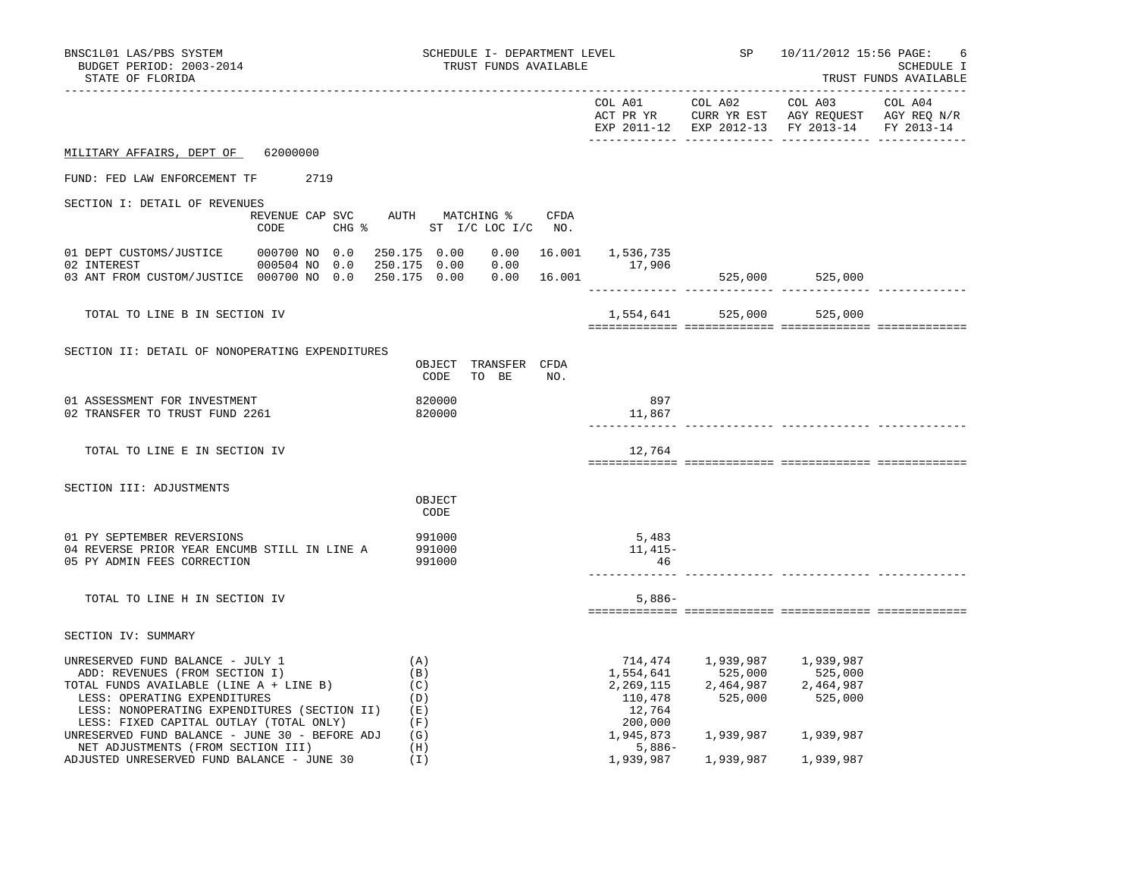| BNSC1L01 LAS/PBS SYSTEM<br>BUDGET PERIOD: 2003-2014<br>STATE OF FLORIDA                                                                                                                                                                                                                    | SCHEDULE I- DEPARTMENT LEVEL<br>TRUST FUNDS AVAILABLE              |                                           |                 | SP 10/11/2012 15:56 PAGE:                                                                                                   | -6<br>SCHEDULE I<br>TRUST FUNDS AVAILABLE |
|--------------------------------------------------------------------------------------------------------------------------------------------------------------------------------------------------------------------------------------------------------------------------------------------|--------------------------------------------------------------------|-------------------------------------------|-----------------|-----------------------------------------------------------------------------------------------------------------------------|-------------------------------------------|
| ------------------                                                                                                                                                                                                                                                                         |                                                                    |                                           | COL A01 COL A02 | COL A03<br>ACT PR YR CURR YR EST AGY REQUEST AGY REQ N/R<br>EXP 2011-12 EXP 2012-13 FY 2013-14 FY 2013-14                   | COL A04                                   |
| MILITARY AFFAIRS, DEPT OF 62000000                                                                                                                                                                                                                                                         |                                                                    |                                           |                 |                                                                                                                             |                                           |
| FUND: FED LAW ENFORCEMENT TF 2719                                                                                                                                                                                                                                                          |                                                                    |                                           |                 |                                                                                                                             |                                           |
| SECTION I: DETAIL OF REVENUES<br>CODE                                                                                                                                                                                                                                                      | REVENUE CAP SVC AUTH MATCHING % CFDA<br>CHG % ST I/C LOC I/C NO.   |                                           |                 |                                                                                                                             |                                           |
| 01 DEPT CUSTOMS/JUSTICE 000700 NO 0.0<br>02 INTEREST<br>000504 NO 0.0<br>03 ANT FROM CUSTOM/JUSTICE 000700 NO 0.0                                                                                                                                                                          | 250.175 0.00<br>250.175  0.00  0.00<br>250.175  0.00  0.00  16.001 | $0.00$ 16.001 1,536,735<br>17,906         |                 | 525,000 525,000                                                                                                             |                                           |
| TOTAL TO LINE B IN SECTION IV                                                                                                                                                                                                                                                              |                                                                    |                                           |                 | 1,554,641 525,000 525,000                                                                                                   |                                           |
| SECTION II: DETAIL OF NONOPERATING EXPENDITURES                                                                                                                                                                                                                                            | OBJECT TRANSFER CFDA<br>TO BE<br>CODE<br>NO.                       |                                           |                 |                                                                                                                             |                                           |
| 01 ASSESSMENT FOR INVESTMENT<br>02 TRANSFER TO TRUST FUND 2261                                                                                                                                                                                                                             | 820000<br>820000                                                   | 897<br>11,867                             |                 |                                                                                                                             |                                           |
| TOTAL TO LINE E IN SECTION IV                                                                                                                                                                                                                                                              |                                                                    | 12,764                                    |                 |                                                                                                                             |                                           |
| SECTION III: ADJUSTMENTS                                                                                                                                                                                                                                                                   | OBJECT<br>CODE                                                     |                                           |                 |                                                                                                                             |                                           |
| 01 PY SEPTEMBER REVERSIONS<br>04 REVERSE PRIOR YEAR ENCUMB STILL IN LINE A<br>05 PY ADMIN FEES CORRECTION                                                                                                                                                                                  | 991000<br>991000<br>991000                                         | 5,483<br>11,415-<br>46                    |                 |                                                                                                                             |                                           |
| TOTAL TO LINE H IN SECTION IV                                                                                                                                                                                                                                                              |                                                                    | $5,886-$                                  |                 |                                                                                                                             |                                           |
| SECTION IV: SUMMARY                                                                                                                                                                                                                                                                        |                                                                    |                                           |                 |                                                                                                                             |                                           |
| UNRESERVED FUND BALANCE - JULY 1<br>ADD: REVENUES (FROM SECTION I)<br>TOTAL FUNDS AVAILABLE (LINE A + LINE B)<br>LESS: OPERATING EXPENDITURES<br>LESS: NONOPERATING EXPENDITURES (SECTION II)<br>LESS: FIXED CAPITAL OUTLAY (TOTAL ONLY)<br>UNRESERVED FUND BALANCE - JUNE 30 - BEFORE ADJ | (A)<br>(B)<br>(C)<br>(D)<br>(E)<br>(F)<br>(G)                      | 110,478<br>12,764<br>200,000<br>1,945,873 | 525,000         | 714,474 1,939,987 1,939,987<br>1,554,641 525,000 525,000<br>2,269,115 2,464,987 2,464,987<br>525,000<br>1,939,987 1,939,987 |                                           |
| NET ADJUSTMENTS (FROM SECTION III)<br>ADJUSTED UNRESERVED FUND BALANCE - JUNE 30                                                                                                                                                                                                           | (H)<br>(I)                                                         | $5,886-$<br>1,939,987                     | 1,939,987       | 1,939,987                                                                                                                   |                                           |